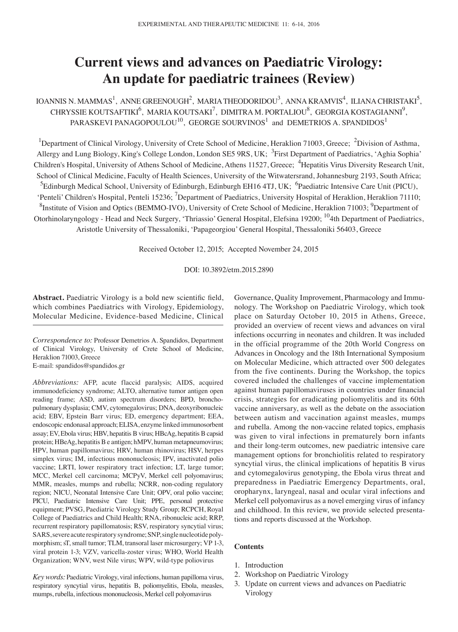# **Current views and advances on Paediatric Virology: An update for paediatric trainees (Review)**

IOANNIS N. MAMMAS<sup>1</sup>, ANNE GREENOUGH<sup>2</sup>, MARIA THEODORIDOU<sup>3</sup>, ANNA KRAMVIS<sup>4</sup>, ILIANA CHRISTAKI<sup>5</sup>, CHRYSSIE KOUTSAFTIKI<sup>6</sup>, MARIA KOUTSAKI<sup>7</sup>, DIMITRA M. PORTALIOU<sup>8</sup>, GEORGIA KOSTAGIANNI<sup>9</sup>, PARASKEVI PANAGOPOULOU $^{10}$ , GEORGE SOURVINOS $^{1}$  and DEMETRIOS A. SPANDIDOS $^{1}$ 

<sup>1</sup>Department of Clinical Virology, University of Crete School of Medicine, Heraklion 71003, Greece; <sup>2</sup>Division of Asthma, Allergy and Lung Biology, King's College London, London SE5 9RS, UK; <sup>3</sup>First Department of Paediatrics, 'Aghia Sophia' Children's Hospital, University of Athens School of Medicine, Athens 11527, Greece; <sup>4</sup>Hepatitis Virus Diversity Research Unit, School of Clinical Medicine, Faculty of Health Sciences, University of the Witwatersrand, Johannesburg 2193, South Africa; <sup>5</sup>Edinburgh Medical School, University of Edinburgh, Edinburgh EH16 4TJ, UK; <sup>6</sup>Paediatric Intensive Care Unit (PICU), 'Penteli' Children's Hospital, Penteli 15236; <sup>7</sup>Department of Paediatrics, University Hospital of Heraklion, Heraklion 71110; <sup>8</sup>Institute of Vision and Optics (BEMMO-IVO), University of Crete School of Medicine, Heraklion 71003; <sup>9</sup>Department of Otorhinolaryngology - Head and Neck Surgery, 'Thriassio' General Hospital, Elefsina 19200; <sup>10</sup>4th Department of Paediatrics, Aristotle University of Thessaloniki, 'Papageorgiou' General Hospital, Thessaloniki 56403, Greece

Received October 12, 2015; Accepted November 24, 2015

DOI: 10.3892/etm.2015.2890

**Abstract.** Paediatric Virology is a bold new scientific field, which combines Paediatrics with Virology, Epidemiology, Molecular Medicine, Evidence-based Medicine, Clinical

*Correspondence to:* Professor Demetrios A. Spandidos, Department of Clinical Virology, University of Crete School of Medicine, Heraklion 71003, Greece

E-mail: spandidos@spandidos.gr

*Abbreviations:* AFP, acute flaccid paralysis; AIDS, acquired immunodeficiency syndrome; ALTO, alternative tumor antigen open reading frame; ASD, autism spectrum disorders; BPD, bronchopulmonary dysplasia; CMV, cytomegalovirus; DNA, deoxyribonucleic acid; EBV, Epstein Barr virus; ED, emergency department; EEA, endoscopic endonasal approach; ELISA, enzyme linked immunosorbent assay; EV, Ebola virus; HBV, hepatitis B virus; HBcAg, hepatitis B capsid protein; HBeAg, hepatitis B e antigen; hMPV, human metapneumovirus; HPV, human papillomavirus; HRV, human rhinovirus; HSV, herpes simplex virus; IM, infectious mononucleosis; IPV, inactivated polio vaccine; LRTI, lower respiratory tract infection; LT, large tumor; MCC, Merkel cell carcinoma; MCPyV, Merkel cell polyomavirus; MMR, measles, mumps and rubella; NCRR, non-coding regulatory region; NICU, Neonatal Intensive Care Unit; OPV, oral polio vaccine; PICU, Paediatric Intensive Care Unit; PPE, personal protective equipment; PVSG, Paediatric Virology Study Group; RCPCH, Royal College of Paediatrics and Child Health; RNA, ribonucleic acid; RRP, recurrent respiratory papillomatosis; RSV, respiratory syncytial virus; SARS, severe acute respiratory syndrome; SNP, single nucleotide polymorphism; sT, small tumor; TLM, transoral laser microsurgery; VP 1-3, viral protein 1-3; VZV, varicella-zoster virus; WHO, World Health Organization; WNV, west Nile virus; WPV, wild-type poliovirus

*Key words:* Paediatric Virology, viral infections, human papilloma virus, respiratory syncytial virus, hepatitis B, poliomyelitis, Ebola, measles, mumps, rubella, infectious mononucleosis, Merkel cell polyomavirus

Governance, Quality Improvement, Pharmacology and Immunology. The Workshop on Paediatric Virology, which took place on Saturday October 10, 2015 in Athens, Greece, provided an overview of recent views and advances on viral infections occurring in neonates and children. It was included in the official programme of the 20th World Congress on Advances in Oncology and the 18th International Symposium on Molecular Medicine, which attracted over 500 delegates from the five continents. During the Workshop, the topics covered included the challenges of vaccine implementation against human papillomaviruses in countries under financial crisis, strategies for eradicating poliomyelitis and its 60th vaccine anniversary, as well as the debate on the association between autism and vaccination against measles, mumps and rubella. Among the non-vaccine related topics, emphasis was given to viral infections in prematurely born infants and their long-term outcomes, new paediatric intensive care management options for bronchiolitis related to respiratory syncytial virus, the clinical implications of hepatitis B virus and cytomegalovirus genotyping, the Ebola virus threat and preparedness in Paediatric Emergency Departments, oral, oropharynx, laryngeal, nasal and ocular viral infections and Merkel cell polyomavirus as a novel emerging virus of infancy and childhood. In this review, we provide selected presentations and reports discussed at the Workshop.

## **Contents**

- 1. Introduction
- 2. Workshop on Paediatric Virology
- 3. Update on current views and advances on Paediatric Virology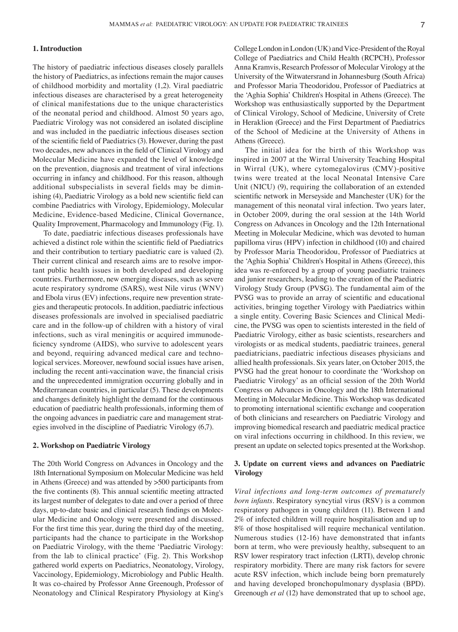#### **1. Introduction**

The history of paediatric infectious diseases closely parallels the history of Paediatrics, as infections remain the major causes of childhood morbidity and mortality (1,2). Viral paediatric infectious diseases are characterised by a great heterogeneity of clinical manifestations due to the unique characteristics of the neonatal period and childhood. Almost 50 years ago, Paediatric Virology was not considered an isolated discipline and was included in the paediatric infectious diseases section of the scientific field of Paediatrics (3). However, during the past two decades, new advances in the field of Clinical Virology and Molecular Medicine have expanded the level of knowledge on the prevention, diagnosis and treatment of viral infections occurring in infancy and childhood. For this reason, although additional subspecialists in several fields may be diminishing (4), Paediatric Virology as a bold new scientific field can combine Paediatrics with Virology, Epidemiology, Molecular Medicine, Evidence-based Medicine, Clinical Governance, Quality Improvement, Pharmacology and Immunology (Fig. 1).

To date, paediatric infectious diseases professionals have achieved a distinct role within the scientific field of Paediatrics and their contribution to tertiary paediatric care is valued (2). Their current clinical and research aims are to resolve important public health issues in both developed and developing countries. Furthermore, new emerging diseases, such as severe acute respiratory syndrome (SARS), west Nile virus (WNV) and Ebola virus (EV) infections, require new prevention strategies and therapeutic protocols. In addition, paediatric infectious diseases professionals are involved in specialised paediatric care and in the follow-up of children with a history of viral infections, such as viral meningitis or acquired immunodeficiency syndrome (AIDS), who survive to adolescent years and beyond, requiring advanced medical care and technological services. Moreover, newfound social issues have arisen, including the recent anti-vaccination wave, the financial crisis and the unprecedented immigration occurring globally and in Mediterranean countries, in particular (5). These developments and changes definitely highlight the demand for the continuous education of paediatric health professionals, informing them of the ongoing advances in paediatric care and management strategies involved in the discipline of Paediatric Virology (6,7).

### **2. Workshop on Paediatric Virology**

The 20th World Congress on Advances in Oncology and the 18th International Symposium on Molecular Medicine was held in Athens (Greece) and was attended by >500 participants from the five continents (8). This annual scientific meeting attracted its largest number of delegates to date and over a period of three days, up-to-date basic and clinical research findings on Molecular Medicine and Oncology were presented and discussed. For the first time this year, during the third day of the meeting, participants had the chance to participate in the Workshop on Paediatric Virology, with the theme 'Paediatric Virology: from the lab to clinical practice' (Fig. 2). This Workshop gathered world experts on Paediatrics, Neonatology, Virology, Vaccinology, Epidemiology, Microbiology and Public Health. It was co-chaired by Professor Anne Greenough, Professor of Neonatology and Clinical Respiratory Physiology at King's College London in London (UK) and Vice-President of the Royal College of Paediatrics and Child Health (RCPCH), Professor Anna Kramvis, Research Professor of Molecular Virology at the University of the Witwatersrand in Johannesburg (South Africa) and Professor Maria Theodoridou, Professor of Paediatrics at the 'Aghia Sophia' Children's Hospital in Athens (Greece). The Workshop was enthusiastically supported by the Department of Clinical Virology, School of Medicine, University of Crete in Heraklion (Greece) and the First Department of Paediatrics of the School of Medicine at the University of Athens in Athens (Greece).

The initial idea for the birth of this Workshop was inspired in 2007 at the Wirral University Teaching Hospital in Wirral (UK), where cytomegalovirus (CMV)-positive twins were treated at the local Neonatal Intensive Care Unit (NICU) (9), requiring the collaboration of an extended scientific network in Merseyside and Manchester (UK) for the management of this neonatal viral infection. Two years later, in October 2009, during the oral session at the 14th World Congress on Advances in Oncology and the 12th International Meeting in Molecular Medicine, which was devoted to human papilloma virus (HPV) infection in childhood (10) and chaired by Professor Maria Theodoridou, Professor of Paediatrics at the 'Aghia Sophia' Children's Hospital in Athens (Greece), this idea was re-enforced by a group of young paediatric trainees and junior researchers, leading to the creation of the Paediatric Virology Study Group (PVSG). The fundamental aim of the PVSG was to provide an array of scientific and educational activities, bringing together Virology with Paediatrics within a single entity. Covering Basic Sciences and Clinical Medicine, the PVSG was open to scientists interested in the field of Paediatric Virology, either as basic scientists, researchers and virologists or as medical students, paediatric trainees, general paediatricians, paediatric infectious diseases physicians and allied health professionals. Six years later, on October 2015, the PVSG had the great honour to coordinate the 'Workshop on Paediatric Virology' as an official session of the 20th World Congress on Advances in Oncology and the 18th International Meeting in Molecular Medicine. This Workshop was dedicated to promoting international scientific exchange and cooperation of both clinicians and researchers on Paediatric Virology and improving biomedical research and paediatric medical practice on viral infections occurring in childhood. In this review, we present an update on selected topics presented at the Workshop.

## **3. Update on current views and advances on Paediatric Virology**

*Viral infections and long-term outcomes of prematurely born infants.* Respiratory syncytial virus (RSV) is a common respiratory pathogen in young children (11). Between 1 and 2% of infected children will require hospitalisation and up to 8% of those hospitalised will require mechanical ventilation. Numerous studies (12-16) have demonstrated that infants born at term, who were previously healthy, subsequent to an RSV lower respiratory tract infection (LRTI), develop chronic respiratory morbidity. There are many risk factors for severe acute RSV infection, which include being born prematurely and having developed bronchopulmonary dysplasia (BPD). Greenough *et al* (12) have demonstrated that up to school age,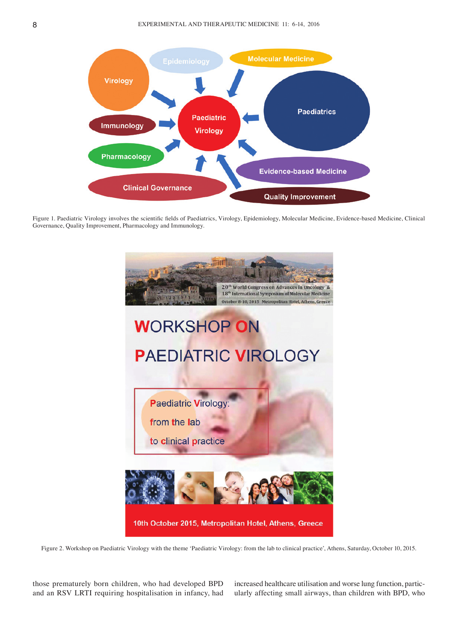

Figure 1. Paediatric Virology involves the scientific fields of Paediatrics, Virology, Epidemiology, Molecular Medicine, Evidence-based Medicine, Clinical Governance, Quality Improvement, Pharmacology and Immunology.



Figure 2. Workshop on Paediatric Virology with the theme 'Paediatric Virology: from the lab to clinical practice', Athens, Saturday, October 10, 2015.

those prematurely born children, who had developed BPD and an RSV LRTI requiring hospitalisation in infancy, had increased healthcare utilisation and worse lung function, particularly affecting small airways, than children with BPD, who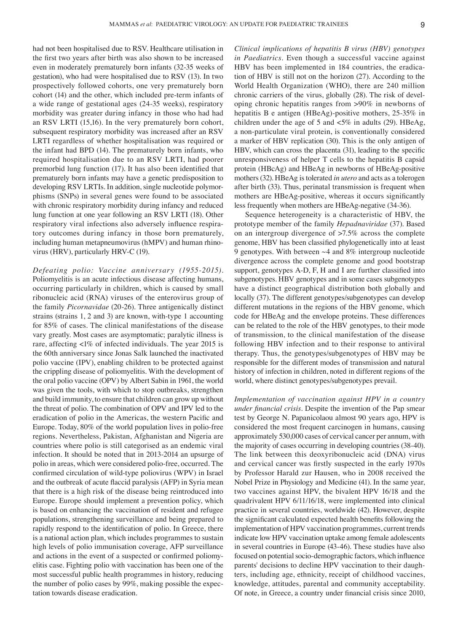had not been hospitalised due to RSV. Healthcare utilisation in the first two years after birth was also shown to be increased even in moderately prematurely born infants (32-35 weeks of gestation), who had were hospitalised due to RSV (13). In two prospectively followed cohorts, one very prematurely born cohort (14) and the other, which included pre-term infants of a wide range of gestational ages (24-35 weeks), respiratory morbidity was greater during infancy in those who had had an RSV LRTI (15,16). In the very prematurely born cohort, subsequent respiratory morbidity was increased after an RSV LRTI regardless of whether hospitalisation was required or the infant had BPD (14). The prematurely born infants, who required hospitalisation due to an RSV LRTI, had poorer premorbid lung function (17). It has also been identified that prematurely born infants may have a genetic predisposition to developing RSV LRTIs. In addition, single nucleotide polymorphisms (SNPs) in several genes were found to be associated with chronic respiratory morbidity during infancy and reduced lung function at one year following an RSV LRTI (18). Other respiratory viral infections also adversely influence respiratory outcomes during infancy in those born prematurely, including human metapneumovirus (hMPV) and human rhinovirus (HRV), particularly HRV-C (19).

*Defeating polio: Vaccine anniversary (1955-2015).*  Poliomyelitis is an acute infectious disease affecting humans, occurring particularly in children, which is caused by small ribonucleic acid (RNA) viruses of the enterovirus group of the family *Picornavidae* (20-26). Three antigenically distinct strains (strains 1, 2 and 3) are known, with-type 1 accounting for 85% of cases. The clinical manifestations of the disease vary greatly. Most cases are asymptomatic; paralytic illness is rare, affecting <1% of infected individuals. The year 2015 is the 60th anniversary since Jonas Salk launched the inactivated polio vaccine (IPV), enabling children to be protected against the crippling disease of poliomyelitis. With the development of the oral polio vaccine (OPV) by Albert Sabin in 1961, the world was given the tools, with which to stop outbreaks, strengthen and build immunity, to ensure that children can grow up without the threat of polio. The combination of OPV and IPV led to the eradication of polio in the Americas, the western Pacific and Europe. Today, 80% of the world population lives in polio-free regions. Nevertheless, Pakistan, Afghanistan and Nigeria are countries where polio is still categorised as an endemic viral infection. It should be noted that in 2013-2014 an upsurge of polio in areas, which were considered polio-free, occurred. The confirmed circulation of wild‑type poliovirus (WPV) in Israel and the outbreak of acute flaccid paralysis (AFP) in Syria mean that there is a high risk of the disease being reintroduced into Europe. Europe should implement a prevention policy, which is based on enhancing the vaccination of resident and refugee populations, strengthening surveillance and being prepared to rapidly respond to the identification of polio. In Greece, there is a national action plan, which includes programmes to sustain high levels of polio immunisation coverage, AFP surveillance and actions in the event of a suspected or confirmed poliomyelitis case. Fighting polio with vaccination has been one of the most successful public health programmes in history, reducing the number of polio cases by 99%, making possible the expectation towards disease eradication.

*Clinical implications of hepatitis B virus (HBV) genotypes in Paediatrics.* Even though a successful vaccine against HBV has been implemented in 184 countries, the eradication of HBV is still not on the horizon (27). According to the World Health Organization (WHO), there are 240 million chronic carriers of the virus, globally (28). The risk of developing chronic hepatitis ranges from >90% in newborns of hepatitis B e antigen (HBeAg)-positive mothers, 25-35% in children under the age of 5 and <5% in adults (29). HBeAg, a non-particulate viral protein, is conventionally considered a marker of HBV replication (30). This is the only antigen of HBV, which can cross the placenta (31), leading to the specific unresponsiveness of helper T cells to the hepatitis B capsid protein (HBcAg) and HBeAg in newborns of HBeAg-positive mothers(32). HBeAg is tolerated *in utero* and acts as a tolerogen after birth (33). Thus, perinatal transmission is frequent when mothers are HBeAg‑positive, whereas it occurs significantly less frequently when mothers are HBeAg-negative (34-36).

Sequence heterogeneity is a characteristic of HBV, the prototype member of the family *Hepadnaviridae* (37). Based on an intergroup divergence of >7.5% across the complete genome, HBV has been classified phylogenetically into at least 9 genotypes. With between ~4 and 8% intergroup nucleotide divergence across the complete genome and good bootstrap support, genotypes A-D, F, H and I are further classified into subgenotypes. HBV genotypes and in some cases subgenotypes have a distinct geographical distribution both globally and locally (37). The different genotypes/subgenotypes can develop different mutations in the regions of the HBV genome, which code for HBeAg and the envelope proteins. These differences can be related to the role of the HBV genotypes, to their mode of transmission, to the clinical manifestation of the disease following HBV infection and to their response to antiviral therapy. Thus, the genotypes/subgenotypes of HBV may be responsible for the different modes of transmission and natural history of infection in children, noted in different regions of the world, where distinct genotypes/subgenotypes prevail.

*Implementation of vaccination against HPV in a country under financial crisis.* Despite the invention of the Pap smear test by George N. Papanicolaou almost 90 years ago, HPV is considered the most frequent carcinogen in humans, causing approximately 530,000 cases of cervical cancer per annum, with the majority of cases occurring in developing countries (38-40). The link between this deoxyribonucleic acid (DNA) virus and cervical cancer was firstly suspected in the early 1970s by Professor Harald zur Hausen, who in 2008 received the Nobel Prize in Physiology and Medicine (41). In the same year, two vaccines against HPV, the bivalent HPV 16/18 and the quadrivalent HPV 6/11/16/18, were implemented into clinical practice in several countries, worldwide (42). However, despite the significant calculated expected health benefits following the implementation of HPV vaccination programmes, current trends indicate low HPV vaccination uptake among female adolescents in several countries in Europe (43-46). These studies have also focused on potential socio‑demographic factors, which influence parents' decisions to decline HPV vaccination to their daughters, including age, ethnicity, receipt of childhood vaccines, knowledge, attitudes, parental and community acceptability. Of note, in Greece, a country under financial crisis since 2010,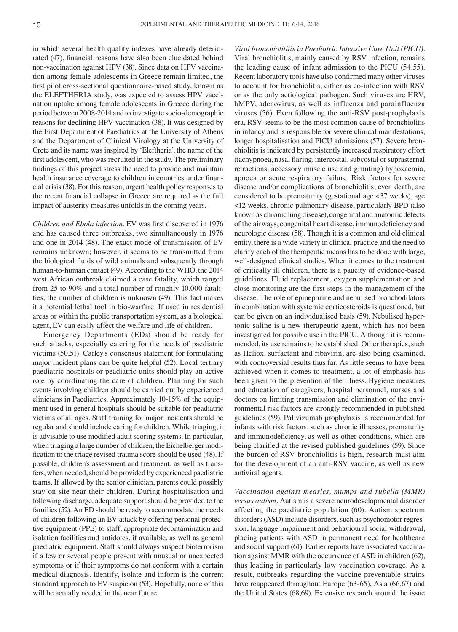in which several health quality indexes have already deteriorated (47), financial reasons have also been elucidated behind non-vaccination against HPV (38). Since data on HPV vaccination among female adolescents in Greece remain limited, the first pilot cross‑sectional questionnaire‑based study, known as the ELEFTHERIA study, was expected to assess HPV vaccination uptake among female adolescents in Greece during the period between 2008-2014 and to investigate socio-demographic reasons for declining HPV vaccination (38). It was designed by the First Department of Paediatrics at the University of Athens and the Department of Clinical Virology at the University of Crete and its name was inspired by 'Eleftheria', the name of the first adolescent, who was recruited in the study. The preliminary findings of this project stress the need to provide and maintain health insurance coverage to children in countries under financial crisis (38). For this reason, urgent health policy responses to the recent financial collapse in Greece are required as the full impact of austerity measures unfolds in the coming years.

*Children and Ebola infection.* EV was first discovered in 1976 and has caused three outbreaks, two simultaneously in 1976 and one in 2014 (48). The exact mode of transmission of EV remains unknown; however, it seems to be transmitted from the biological fluids of wild animals and subsquently through human-to-human contact (49). According to the WHO, the 2014 west African outbreak claimed a case fatality, which ranged from 25 to 90% and a total number of roughly 10,000 fatalities; the number of children is unknown (49). This fact makes it a potential lethal tool in bio-warfare. If used in residential areas or within the public transportation system, as a biological agent, EV can easily affect the welfare and life of children.

Emergency Departments (EDs) should be ready for such attacks, especially catering for the needs of paediatric victims (50,51). Carley's consensus statement for formulating major incident plans can be quite helpful (52). Local tertiary paediatric hospitals or peadiatric units should play an active role by coordinating the care of children. Planning for such events involving children should be carried out by experienced clinicians in Paediatrics. Approximately 10-15% of the equipment used in general hospitals should be suitable for peadiatric victims of all ages. Staff training for major incidents should be regular and should include caring for children. While triaging, it is advisable to use modified adult scoring systems. In particular, when triaging a large number of children, the Eichelberger modification to the triage revised trauma score should be used (48). If possible, children's assessment and treatment, as well as transfers, when needed, should be provided by experienced paediatric teams. If allowed by the senior clinician, parents could possibly stay on site near their children. During hospitalisation and following discharge, adequate support should be provided to the families(52). An ED should be ready to accommodate the needs of children following an EV attack by offering personal protective equipment (PPE) to staff, appropriate decontamination and isolation facilities and antidotes, if available, as well as general paediatric equipment. Staff should always suspect bioterrorism if a few or several people present with unusual or unexpected symptoms or if their symptoms do not conform with a certain medical diagnosis. Identify, isolate and inform is the current standard approach to EV suspicion (53). Hopefully, none of this will be actually needed in the near future.

*Viral bronchiolititis in Paediatric Intensive Care Unit (PICU).*  Viral bronchiolitis, mainly caused by RSV infection, remains the leading cause of infant admission to the PICU (54,55). Recent laboratory tools have also confirmed many other viruses to account for bronchiolitis, either as co-infection with RSV or as the only aetiological pathogen. Such viruses are HRV, hMPV, adenovirus, as well as influenza and parainfluenza viruses (56). Even following the anti-RSV post-prophylaxis era, RSV seems to be the most common cause of bronchiolitis in infancy and is responsible for severe clinical manifestations, longer hospitalisation and PICU admissions (57). Severe bronchiolitis is indicated by persistently increased respiratory effort (tachypnoea, nasal flaring, intercostal, subcostal or suprasternal retractions, accessory muscle use and grunting) hypoxaemia, apnoea or acute respiratory failure. Risk factors for severe disease and/or complications of bronchiolitis, even death, are considered to be prematurity (gestational age <37 weeks), age <12 weeks, chronic pulmonary disease, particularly BPD (also known as chronic lung disease), congenital and anatomic defects of the airways, congenital heart disease, immunodeficiency and neurologic disease (58). Though it is a common and old clinical entity, there is a wide variety in clinical practice and the need to clarify each of the therapeutic means has to be done with large, well-designed clinical studies. When it comes to the treatment of critically ill children, there is a paucity of evidence-based guidelines. Fluid replacement, oxygen supplementation and close monitoring are the first steps in the management of the disease. The role of epinephrine and nebulised bronchodilators in combination with systemic corticosteroids is questioned, but can be given on an individualised basis (59). Nebulised hypertonic saline is a new therapeutic agent, which has not been investigated for possible use in the PICU. Although it is recommended, its use remains to be established. Other therapies, such as Heliox, surfactant and ribavirin, are also being examined, with controversial results thus far. As little seems to have been achieved when it comes to treatment, a lot of emphasis has been given to the prevention of the illness. Hygiene measures and education of caregivers, hospital personnel, nurses and doctors on limiting transmission and elimination of the environmental risk factors are strongly recommended in published guidelines (59). Palivizumab prophylaxis is recommended for infants with risk factors, such as chronic illnesses, prematurity and immunodeficiency, as well as other conditions, which are being clarified at the revised published guidelines (59). Since the burden of RSV bronchiolitis is high, research must aim for the development of an anti-RSV vaccine, as well as new antiviral agents.

*Vaccination against measles, mumps and rubella (MMR) versus autism.* Autism is a severe neurodevelopmental disorder affecting the paediatric population (60). Autism spectrum disorders (ASD) include disorders, such as psychomotor regression, language impairment and behavioural social withdrawal, placing patients with ASD in permanent need for healthcare and social support (61). Earlier reports have associated vaccination against MMR with the occurrence of ASD in children (62), thus leading in particularly low vaccination coverage. As a result, outbreaks regarding the vaccine preventable strains have reappeared throughout Europe (63-65), Asia (66,67) and the United States (68,69). Extensive research around the issue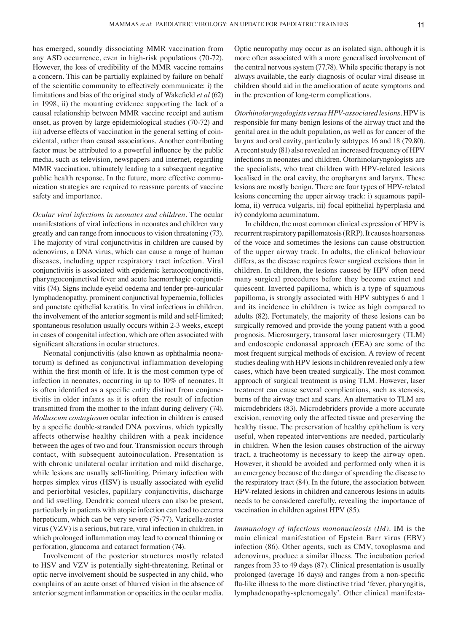has emerged, soundly dissociating MMR vaccination from any ASD occurrence, even in high-risk populations (70-72). However, the loss of credibility of the MMR vaccine remains a concern. This can be partially explained by failure on behalf of the scientific community to effectively communicate: i) the limitations and bias of the original study of Wakefield *et al* (62) in 1998, ii) the mounting evidence supporting the lack of a causal relationship between MMR vaccine receipt and autism onset, as proven by large epidemiological studies (70-72) and iii) adverse effects of vaccination in the general setting of coincidental, rather than causal associations. Another contributing factor must be attributed to a powerful influence by the public media, such as television, newspapers and internet, regarding MMR vaccination, ultimately leading to a subsequent negative public health response. In the future, more effective communication strategies are required to reassure parents of vaccine safety and importance.

*Ocular viral infections in neonates and children.* The ocular manifestations of viral infections in neonates and children vary greatly and can range from innocuous to vision threatening (73). The majority of viral conjunctivitis in children are caused by adenovirus, a DNA virus, which can cause a range of human diseases, including upper respiratory tract infection. Viral conjunctivitis is associated with epidemic keratoconjunctivitis, pharyngoconjunctival fever and acute haemorrhagic conjunctivitis (74). Signs include eyelid oedema and tender pre-auricular lymphadenopathy, prominent conjunctival hyperaemia, follicles and punctate epithelial keratitis. In viral infections in children, the involvement of the anterior segment is mild and self-limited; spontaneous resolution usually occurs within 2-3 weeks, except in cases of congenital infection, which are often associated with significant alterations in ocular structures.

Neonatal conjunctivitis (also known as ophthalmia neonatorum) is defined as conjunctival inflammation developing within the first month of life. It is the most common type of infection in neonates, occurring in up to 10% of neonates. It is often identified as a specific entity distinct from conjunctivitis in older infants as it is often the result of infection transmitted from the mother to the infant during delivery (74). *Molluscum contagiosum* ocular infection in children is caused by a specific double‑stranded DNA poxvirus, which typically affects otherwise healthy children with a peak incidence between the ages of two and four. Transmission occurs through contact, with subsequent autoinoculation. Presentation is with chronic unilateral ocular irritation and mild discharge, while lesions are usually self-limiting. Primary infection with herpes simplex virus (HSV) is usually associated with eyelid and periorbital vesicles, papillary conjunctivitis, discharge and lid swelling. Dendritic corneal ulcers can also be present, particularly in patients with atopic infection can lead to eczema herpeticum, which can be very severe (75-77). Varicella-zoster virus (VZV) is a serious, but rare, viral infection in children, in which prolonged inflammation may lead to corneal thinning or perforation, glaucoma and cataract formation (74).

Involvement of the posterior structures mostly related to HSV and VZV is potentially sight-threatening. Retinal or optic nerve involvement should be suspected in any child, who complains of an acute onset of blurred vision in the absence of anterior segment inflammation or opacities in the ocular media. Optic neuropathy may occur as an isolated sign, although it is more often associated with a more generalised involvement of the central nervous system (77,78). While specific therapy is not always available, the early diagnosis of ocular viral disease in children should aid in the amelioration of acute symptoms and in the prevention of long-term complications.

*Otorhinolaryngologists versus HPV-associated lesions.* HPV is responsible for many benign lesions of the airway tract and the genital area in the adult population, as well as for cancer of the larynx and oral cavity, particularly subtypes 16 and 18 (79,80). A recent study (81) also revealed an increased frequency of HPV infections in neonates and children. Otorhinolaryngologists are the specialists, who treat children with HPV-related lesions localised in the oral cavity, the oropharynx and larynx. These lesions are mostly benign. There are four types of HPV-related lesions concerning the upper airway track: i) squamous papilloma, ii) verruca vulgaris, iii) focal epithelial hyperplasia and iv) condyloma acuminatum.

In children, the most common clinical expression of HPV is recurrent respiratory papillomatosis(RRP). It causes hoarseness of the voice and sometimes the lesions can cause obstruction of the upper airway track. In adults, the clinical behaviour differs, as the disease requires fewer surgical excisions than in children. In children, the lesions caused by HPV often need many surgical procedures before they become extinct and quiescent. Inverted papilloma, which is a type of squamous papilloma, is strongly associated with HPV subtypes 6 and 1 and its incidence in children is twice as high compared to adults (82). Fortunately, the majority of these lesions can be surgically removed and provide the young patient with a good prognosis. Microsurgery, transoral laser microsurgery (TLM) and endoscopic endonasal approach (EEA) are some of the most frequent surgical methods of excision. A review of recent studies dealing with HPV lesions in children revealed only a few cases, which have been treated surgically. The most common approach of surgical treatment is using TLM. However, laser treatment can cause several complications, such as stenosis, burns of the airway tract and scars. An alternative to TLM are microdebriders (83). Microdebriders provide a more accurate excision, removing only the affected tissue and preserving the healthy tissue. The preservation of healthy epithelium is very useful, when repeated interventions are needed, particularly in children. When the lesion causes obstruction of the airway tract, a tracheotomy is necessary to keep the airway open. However, it should be avoided and performed only when it is an emergency because of the danger of spreading the disease to the respiratory tract (84). In the future, the association between HPV-related lesions in children and cancerous lesions in adults needs to be considered carefully, revealing the importance of vaccination in children against HPV (85).

*Immunology of infectious mononucleosis (IM).* IM is the main clinical manifestation of Epstein Barr virus (EBV) infection (86). Other agents, such as CMV, toxoplasma and adenovirus, produce a similar illness. The incubation period ranges from 33 to 49 days (87). Clinical presentation is usually prolonged (average 16 days) and ranges from a non‑specific flu-like illness to the more distinctive triad 'fever, pharyngitis, lymphadenopathy-splenomegaly'. Other clinical manifesta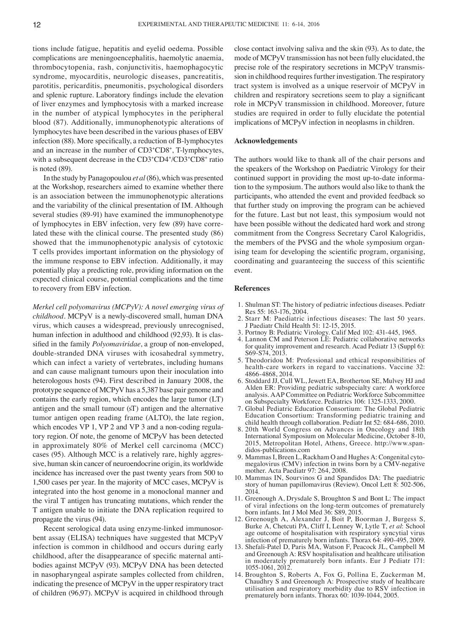tions include fatigue, hepatitis and eyelid oedema. Possible complications are meningoencephalitis, haemolytic anaemia, thrombocytopenia, rash, conjunctivitis, haemophagocytic syndrome, myocarditis, neurologic diseases, pancreatitis, parotitis, pericarditis, pneumonitis, psychological disorders and splenic rupture. Laboratory findings include the elevation of liver enzymes and lymphocytosis with a marked increase in the number of atypical lymphocytes in the peripheral blood (87). Additionally, immunophenotypic alterations of lymphocytes have been described in the various phases of EBV infection (88). More specifically, a reduction of B‑lymphocytes and an increase in the number of CD3<sup>+</sup>CD8<sup>+</sup>, T-lymphocytes, with a subsequent decrease in the CD3<sup>+</sup>CD4<sup>+</sup>/CD3<sup>+</sup>CD8<sup>+</sup> ratio is noted (89).

In the study by Panagopoulou *et al*(86), which was presented at the Workshop, researchers aimed to examine whether there is an association between the immunophenotypic alterations and the variability of the clinical presentation of IM. Although several studies (89-91) have examined the immunophenotype of lymphocytes in EBV infection, very few (89) have correlated these with the clinical course. The presented study (86) showed that the immunophenotypic analysis of cytotoxic T cells provides important information on the physiology of the immune response to EBV infection. Additionally, it may potentially play a predicting role, providing information on the expected clinical course, potential complications and the time to recovery from EBV infection.

*Merkel cell polyomavirus (MCPyV): A novel emerging virus of childhood.* MCPyV is a newly-discovered small, human DNA virus, which causes a widespread, previously unrecognised, human infection in adulthood and childhood (92,93). It is classified in the family *Polyomaviridae*, a group of non-enveloped, double-stranded DNA viruses with icosahedral symmetry, which can infect a variety of vertebrates, including humans and can cause malignant tumours upon their inoculation into heterologous hosts (94). First described in January 2008, the prototype sequence of MCPyV has a 5,387 base pair genome and contains the early region, which encodes the large tumor (LT) antigen and the small tumour (sT) antigen and the alternative tumor antigen open reading frame (ALTO), the late region, which encodes VP 1, VP 2 and VP 3 and a non-coding regulatory region. Of note, the genome of MCPyV has been detected in approximately 80% of Merkel cell carcinoma (MCC) cases (95). Although MCC is a relatively rare, highly aggressive, human skin cancer of neuroendocrine origin, its worldwide incidence has increased over the past twenty years from 500 to 1,500 cases per year. In the majority of MCC cases, MCPyV is integrated into the host genome in a monoclonal manner and the viral T antigen has truncating mutations, which render the T antigen unable to initiate the DNA replication required to propagate the virus (94).

Recent serological data using enzyme-linked immunosorbent assay (ELISA) techniques have suggested that MCPyV infection is common in childhood and occurs during early childhood, after the disappearance of specific maternal antibodies against MCPyV (93). MCPyV DNA has been detected in nasopharyngeal aspirate samples collected from children, indicating the presence of MCPyV in the upper respiratory tract of children (96,97). MCPyV is acquired in childhood through close contact involving saliva and the skin (93). As to date, the mode of MCPyV transmission has not been fully elucidated, the precise role of the respiratory secretions in MCPyV transmission in childhood requires further investigation. The respiratory tract system is involved as a unique reservoir of MCPyV in children and respiratory secretions seem to play a significant role in MCPyV transmission in childhood. Moreover, future studies are required in order to fully elucidate the potential implications of MCPyV infection in neoplasms in children.

#### **Acknowledgements**

The authors would like to thank all of the chair persons and the speakers of the Workshop on Paediatric Virology for their continued support in providing the most up-to-date information to the symposium. The authors would also like to thank the participants, who attended the event and provided feedback so that further study on improving the program can be achieved for the future. Last but not least, this symposium would not have been possible without the dedicated hard work and strong commitment from the Congress Secretary Carol Kalogridis, the members of the PVSG and the whole symposium organising team for developing the scientific program, organising, coordinating and guaranteeing the success of this scientific event.

#### **References**

- 1. Shulman ST: The history of pediatric infectious diseases. Pediatr Res 55: 163-176, 2004.
- 2. Starr M: Paediatric infectious diseases: The last 50 years. J Paediatr Child Health 51: 12-15, 2015.
- 3. Portnoy B: Pediatric Virology. Calif Med 102: 431-445, 1965.
- 4. Lannon CM and Peterson LE: Pediatric collaborative networks for quality improvement and research. Acad Pediatr 13 (Suppl 6): S69-S74, 2013.
- 5. Theodoridou M: Professional and ethical responsibilities of health-care workers in regard to vaccinations. Vaccine 32: 4866-4868, 2014.
- 6. Stoddard JJ, Cull WL, Jewett EA, Brotherton SE, Mulvey HJ and Alden ER: Providing pediatric subspecialty care: A workforce analysis. AAP Committee on Pediatric Workforce Subcommittee on Subspecialty Workforce. Pediatrics 106: 1325-1333, 2000.
- 7. Global Pediatric Education Consortium: The Global Pediatric Education Consortium: Transforming pediatric training and child health through collaboration. Pediatr Int 52: 684-686, 2010.
- 8. 20th World Congress on Advances in Oncology and 18th International Symposium on Molecular Medicine, October 8-10, 2015, Metropolitan Hotel, Athens, Greece. http://www.spandidos-publications.com
- 9. Mammas I, Breen L, Rackham O and Hughes A: Congenital cytomegalovirus (CMV) infection in twins born by a CMV-negative mother. Acta Paediatr 97: 264, 2008.
- 10. Mammas IN, Sourvinos G and Spandidos DA: The paediatric story of human papillomavirus (Review). Oncol Lett 8: 502-506, 2014.
- 11. Greenough A, Drysdale S, Broughton S and Bont L: The impact of viral infections on the long-term outcomes of prematurely born infants. Int J Mol Med 36: S89, 2015.
- 12. Greenough A, Alexander J, Boit P, Boorman J, Burgess S, Burke A, Chetcuti PA, Cliff I, Lenney W, Lytle T, *et al*: School age outcome of hospitalisation with respiratory syncytial virus infection of prematurely born infants. Thorax 64: 490-495, 2009.
- 13. Shefali-Patel D, Paris MA, Watson F, Peacock JL, Campbell M and Greenough A: RSV hospitalisation and healthcare utilisation in moderately prematurely born infants. Eur J Pediatr 171: 1055-1061, 2012.
- 14. Broughton S, Roberts A, Fox G, Pollina E, Zuckerman M, Chaudhry S and Greenough A: Prospective study of healthcare utilisation and respiratory morbidity due to RSV infection in prematurely born infants. Thorax 60: 1039-1044, 2005.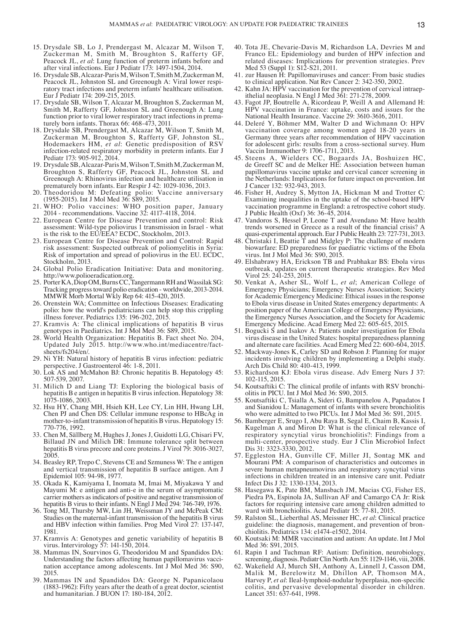- 15. Drysdale SB, Lo J, Prendergast M, Alcazar M, Wilson T, Zuckerman M, Smith M, Broughton S, Rafferty GF, Peacock JL, *et al*: Lung function of preterm infants before and after viral infections. Eur J Pediatr 173: 1497-1504, 2014.
- 16. Drysdale SB, Alcazar-Paris M, Wilson T, Smith M, ZuckermanM, Peacock JL, Johnston SL and Greenough A: Viral lower respiratory tract infections and preterm infants' healthcare utilisation. Eur J Pediatr 174: 209-215, 2015.
- 17. Drysdale SB, Wilson T, Alcazar M, Broughton S, Zuckerman M, Smith M, Rafferty GF, Johnston SL and Greenough A: Lung function prior to viral lower respiratory tract infections in prematurely born infants. Thorax 66: 468-473, 2011.
- 18. Drysdale SB, Prendergast M, Alcazar M, Wilson T, Smith M, Zuckerman M, Broughton S, Rafferty GF, Johnston SL, Hodemaekers HM, *et al*: Genetic predisposition of RSV infection-related respiratory morbidity in preterm infants. Eur J Pediatr 173: 905-912, 2014.
- 19. Drysdale SB, Alcazar-Paris M, Wilson T, Smith M, ZuckermanM, Broughton S, Rafferty GF, Peacock JL, Johnston SL and Greenough A: Rhinovirus infection and healthcare utilisation in prematurely born infants. Eur Respir J 42: 1029-1036, 2013.
- 20. Theodoridou M: Defeating polio: Vaccine anniversary (1955-2015). Int J Mol Med 36: S89, 2015.
- 21. WHO: Polio vaccines: WHO position paper, January 2014 - recommendations. Vaccine 32: 4117-4118, 2014.
- 22. European Centre for Disease Prevention and control: Risk assessment: Wild-type poliovirus 1 transmission in Israel - what is the risk to the EU/EEA? ECDC, Stockholm, 2013.
- 23. European Centre for Disease Prevention and Control: Rapid risk assessment: Suspected outbreak of poliomyelitis in Syria: Risk of importation and spread of poliovirus in the EU. ECDC, Stockholm, 2013.
- 24. Global Polio Eradication Initiative: Data and monitoring. http://www.polioeradication.org.
- 25. Porter KA, Diop OM, Burns CC, Tangermann RH and Wassilak SG: Tracking progress toward polio eradication - worldwide, 2013-2014. MMWR Morb Mortal Wkly Rep 64: 415-420, 2015.
- 26. Orenstein WA; Committee on Infectious Diseases: Eradicating polio: how the world's pediatricians can help stop this crippling illness forever. Pediatrics 135: 196-202, 2015.
- 27. Kramvis A: The clinical implications of hepatitis B virus genotypes in Paediatrics. Int J Mol Med 36: S89, 2015.
- 28. World Health Organization: Hepatitis B. Fact sheet No. 204, Updated July 2015. http://www.who.int/mediacentre/factsheets/fs204/en/.
- 29. Ni YH: Natural history of hepatitis B virus infection: pediatric perspective. J Gastroenterol 46: 1-8, 2011.
- 30. Lok AS and McMahon BJ: Chronic hepatitis B. Hepatology 45: 507-539, 2007.
- 31. Milich D and Liang TJ: Exploring the biological basis of hepatitis B e antigen in hepatitis B virus infection. Hepatology 38: 1075-1086, 2003.
- 32. Hsu HY, Chang MH, Hsieh KH, Lee CY, Lin HH, Hwang LH, Chen PJ and Chen DS: Cellular immune response to HBcAg in mother-to-infant transmission of hepatitis B virus. Hepatology 15: 770-776, 1992.
- 33. Chen M, Sällberg M, Hughes J, Jones J, Guidotti LG, Chisari FV, Billaud JN and Milich DR: Immune tolerance split between hepatitis B virus precore and core proteins. J Virol 79: 3016-3027, 2005.
- 34. Beasley RP, Trepo C, Stevens CE and Szmuness W: The e antigen and vertical transmission of hepatitis B surface antigen. Am J Epidemiol 105: 94-98, 1977.
- 35. Okada K, Kamiyama I, Inomata M, Imai M, Miyakawa Y and Mayumi M: e antigen and anti-e in the serum of asymptomatic carrier mothers as indicators of positive and negative transmission of hepatitis B virus to their infants. N Engl J Med 294: 746-749, 1976.
- 36. Tong MJ, Thursby MW, Lin JH, Weissman JY and McPeak CM: Studies on the maternal-infant transmission of the hepatitis B virus and HBV infection within families. Prog Med Virol 27: 137-147, 1981.
- 37. Kramvis A: Genotypes and genetic variability of hepatitis B virus. Intervirology 57: 141-150, 2014.
- 38. Mammas IN, Sourvinos G, Theodoridou M and Spandidos DA: Understanding the factors affecting human papillomavirus vacci- nation acceptance among adolescents. Int J Mol Med 36: S90, 2015.
- 39. Mammas IN and Spandidos DA: George N. Papanicolaou (1883-1962): Fifty years after the death of a great doctor, scientist and humanitarian. J BUON 17: 180-184, 2012.
- 40. Tota JE, Chevarie-Davis M, Richardson LA, Devries M and Franco EL: Epidemiology and burden of HPV infection and related diseases: Implications for prevention strategies. Prev Med 53 (Suppl 1): S12-S21, 2011.
- 41. zur Hausen H: Papillomaviruses and cancer: From basic studies to clinical application. Nat Rev Cancer 2: 342-350, 2002.
- 42. Kahn JA: HPV vaccination for the prevention of cervical intraepithelial neoplasia. N Engl J Med 361: 271-278, 2009.
- 43. Fagot JP, Boutrelle A, Ricordeau P, Weill A and Allemand H: HPV vaccination in France: uptake, costs and issues for the National Health Insurance. Vaccine 29: 3610-3616, 2011.
- 44. Deleré Y, Böhmer MM, Walter D and Wichmann O: HPV vaccination coverage among women aged 18-20 years in Germany three years after recommendation of HPV vaccination for adolescent girls: results from a cross-sectional survey. Hum Vaccin Immunother 9: 1706-1711, 2013.
- 45. Steens A, Wielders CC, Bogaards JA, Boshuizen HC, de Greeff SC and de Melker HE: Association between human papillomavirus vaccine uptake and cervical cancer screening in the Netherlands: Implications for future impact on prevention. Int J Cancer 132: 932-943, 2013.
- 46. Fisher H, Audrey S, Mytton JA, Hickman M and Trotter C: Examining inequalities in the uptake of the school-based HPV vaccination programme in England: a retrospective cohort study. J Public Health (Oxf) 36: 36-45, 2014.
- 47. Vandoros S, Hessel P, Leone T and Avendano M: Have health trends worsened in Greece as a result of the financial crisis? A quasi-experimental approach. Eur J Public Health 23: 727-731, 2013.
- 48. Christaki I, Beattie T and Midgley P: The challenge of modern biowarfare: ED preparedness for paediatric victims of the Ebola virus. Int J Mol Med 36: S90, 2015.
- 49. Elshabrawy HA, Erickson TB and Prabhakar BS: Ebola virus outbreak, updates on current therapeutic strategies. Rev Med Virol 25: 241-253, 2015.
- 50. Venkat A, Asher SL, Wolf L, *et al*; American College of Emergency Physicians; Emergency Nurses Association; Society for Academic Emergency Medicine: Ethical issues in the response to Ebola virus disease in United States emergency departments: A position paper of the American College of Emergency Physicians, the Emergency Nurses Association, and the Society for Academic Emergency Medicine. Acad Emerg Med 22: 605-615, 2015.
- 51. Bogucki S and Isakov A: Patients under investigation for Ebola virus disease in the United States: hospital preparedness planning and alternate care facilities. Acad Emerg Med 22: 600-604, 2015.
- 52. Mackway-Jones K, Carley SD and Robson J: Planning for major incidents involving children by implementing a Delphi study. Arch Dis Child 80: 410-413, 1999.
- 53. Richardson KJ: Ebola virus disease. Adv Emerg Nurs J 37: 102-115, 2015.
- 54. Koutsaftiki C: The clinical profile of infants with RSV bronchiolitis in PICU. Int J Mol Med 36: S90, 2015.
- 55. Koutsaftiki C, Tsialla A, Sideri G, Bampanelou A, Papadatos I and Sianidou L: Management of infants with severe bronchiolitis who were admitted to two PICUs. Int J Mol Med 36: S91, 2015.
- 56. Bamberger E, Srugo I, Abu Raya B, Segal E, Chaim B, Kassis I, Kugelman A and Miron D: What is the clinical relevance of respiratory syncytial virus bronchiolitis?: Findings from a multi-center, prospective study. Eur J Clin Microbiol Infect Dis 31: 3323-3330, 2012.
- 57. Eggleston HA, Gunville CF, Miller JI, Sontag MK and Mourani PM: A comparison of characteristics and outcomes in severe human metapneumovirus and respiratory syncytial virus infections in children treated in an intensive care unit. Pediatr Infect Dis J 32: 1330-1334, 2013.
- 58. Hasegawa K, Pate BM, Mansbach JM, Macias CG, Fisher ES, Piedra PA, Espinola JA, Sullivan AF and Camargo CA Jr: Risk factors for requiring intensive care among children admitted to ward with bronchiolitis. Acad Pediatr 15: 77-81, 2015.
- 59. Ralston SL, Lieberthal AS, Meissner HC, *et al*: Clinical practice guideline: the diagnosis, management, and prevention of bron- chiolitis. Pediatrics 134: e1474-e1502, 2014.
- 60. Koutsaki M: MMR vaccination and autism: An update. Int J Mol Med 36: S91, 2015.
- 61. Rapin I and Tuchman RF: Autism: Definition, neurobiology, screening, diagnosis. Pediatr Clin North Am 55: 1129-1146, viii, 2008.
- 62. Wakefield AJ, Murch SH, Anthony A, Linnell J, Casson DM, Malik M, Berelowitz M, Dhillon AP, Thomson MA, Harvey P, *et al*: Ileal‑lymphoid‑nodular hyperplasia, non‑specific colitis, and pervasive developmental disorder in children. Lancet 351: 637-641, 1998.